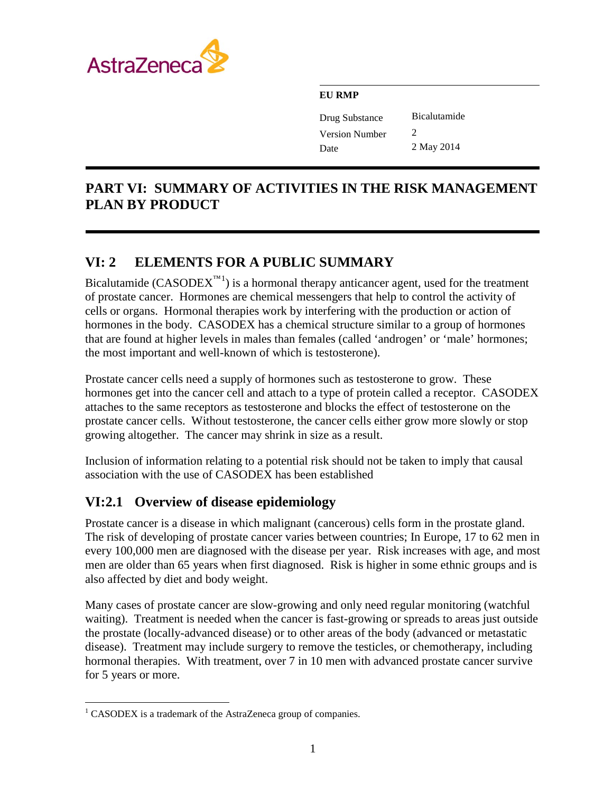

#### **EU RMP**

| Drug Substance        | <b>Bicalutamide</b> |
|-----------------------|---------------------|
| <b>Version Number</b> | 2                   |
| Date                  | 2 May 2014          |

# **PART VI: SUMMARY OF ACTIVITIES IN THE RISK MANAGEMENT PLAN BY PRODUCT**

# **VI: 2 ELEMENTS FOR A PUBLIC SUMMARY**

Bicalutamide  $(CASODEX^{TM}]$ ) is a hormonal therapy anticancer agent, used for the treatment of prostate cancer. Hormones are chemical messengers that help to control the activity of cells or organs. Hormonal therapies work by interfering with the production or action of hormones in the body. CASODEX has a chemical structure similar to a group of hormones that are found at higher levels in males than females (called 'androgen' or 'male' hormones; the most important and well-known of which is testosterone).

Prostate cancer cells need a supply of hormones such as testosterone to grow. These hormones get into the cancer cell and attach to a type of protein called a receptor. CASODEX attaches to the same receptors as testosterone and blocks the effect of testosterone on the prostate cancer cells. Without testosterone, the cancer cells either grow more slowly or stop growing altogether. The cancer may shrink in size as a result.

Inclusion of information relating to a potential risk should not be taken to imply that causal association with the use of CASODEX has been established

# **VI:2.1 Overview of disease epidemiology**

Prostate cancer is a disease in which malignant (cancerous) cells form in the prostate gland. The risk of developing of prostate cancer varies between countries; In Europe, 17 to 62 men in every 100,000 men are diagnosed with the disease per year. Risk increases with age, and most men are older than 65 years when first diagnosed. Risk is higher in some ethnic groups and is also affected by diet and body weight.

Many cases of prostate cancer are slow-growing and only need regular monitoring (watchful waiting). Treatment is needed when the cancer is fast-growing or spreads to areas just outside the prostate (locally-advanced disease) or to other areas of the body (advanced or metastatic disease). Treatment may include surgery to remove the testicles, or chemotherapy, including hormonal therapies. With treatment, over 7 in 10 men with advanced prostate cancer survive for 5 years or more.

<span id="page-0-0"></span> $1$  CASODEX is a trademark of the AstraZeneca group of companies.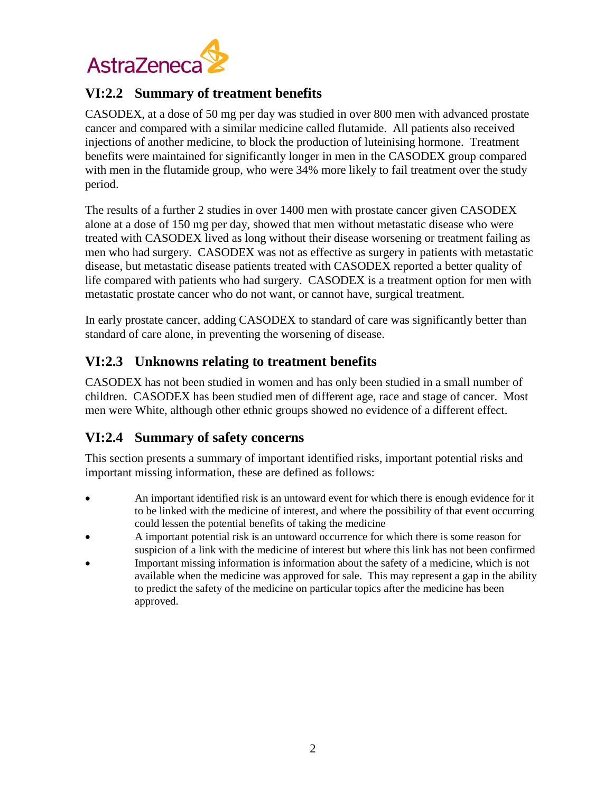

### **VI:2.2 Summary of treatment benefits**

CASODEX, at a dose of 50 mg per day was studied in over 800 men with advanced prostate cancer and compared with a similar medicine called flutamide. All patients also received injections of another medicine, to block the production of luteinising hormone. Treatment benefits were maintained for significantly longer in men in the CASODEX group compared with men in the flutamide group, who were 34% more likely to fail treatment over the study period.

The results of a further 2 studies in over 1400 men with prostate cancer given CASODEX alone at a dose of 150 mg per day, showed that men without metastatic disease who were treated with CASODEX lived as long without their disease worsening or treatment failing as men who had surgery. CASODEX was not as effective as surgery in patients with metastatic disease, but metastatic disease patients treated with CASODEX reported a better quality of life compared with patients who had surgery. CASODEX is a treatment option for men with metastatic prostate cancer who do not want, or cannot have, surgical treatment.

In early prostate cancer, adding CASODEX to standard of care was significantly better than standard of care alone, in preventing the worsening of disease.

### **VI:2.3 Unknowns relating to treatment benefits**

CASODEX has not been studied in women and has only been studied in a small number of children. CASODEX has been studied men of different age, race and stage of cancer. Most men were White, although other ethnic groups showed no evidence of a different effect.

# **VI:2.4 Summary of safety concerns**

This section presents a summary of important identified risks, important potential risks and important missing information, these are defined as follows:

- An important identified risk is an untoward event for which there is enough evidence for it to be linked with the medicine of interest, and where the possibility of that event occurring could lessen the potential benefits of taking the medicine
- A important potential risk is an untoward occurrence for which there is some reason for suspicion of a link with the medicine of interest but where this link has not been confirmed
- Important missing information is information about the safety of a medicine, which is not available when the medicine was approved for sale. This may represent a gap in the ability to predict the safety of the medicine on particular topics after the medicine has been approved.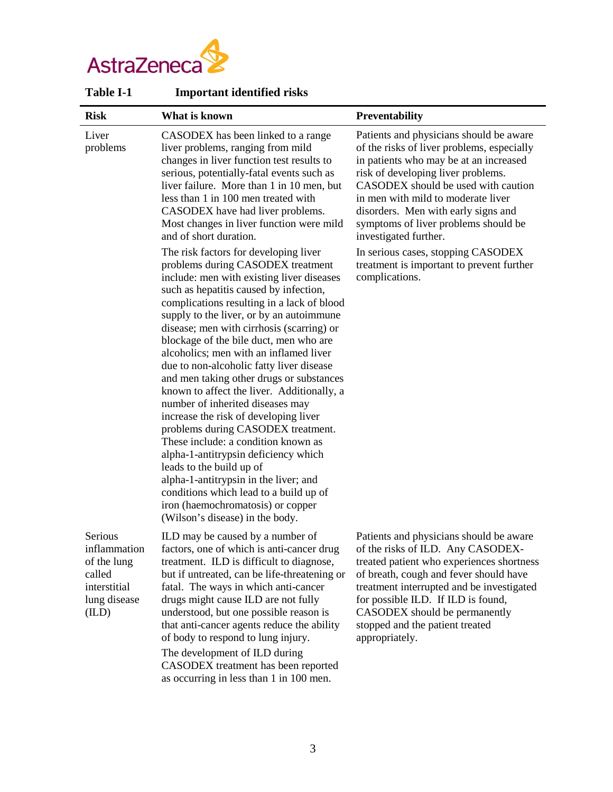

| <b>Table I-1</b>                                                                          | <b>Important identified risks</b>                                                                                                                                                                                                                                                                                                                                                                                                                                                                                                                                                                                                                                                                                                                                                                                                                                                                                           |                                                                                                                                                                                                                                                                                                                                                            |
|-------------------------------------------------------------------------------------------|-----------------------------------------------------------------------------------------------------------------------------------------------------------------------------------------------------------------------------------------------------------------------------------------------------------------------------------------------------------------------------------------------------------------------------------------------------------------------------------------------------------------------------------------------------------------------------------------------------------------------------------------------------------------------------------------------------------------------------------------------------------------------------------------------------------------------------------------------------------------------------------------------------------------------------|------------------------------------------------------------------------------------------------------------------------------------------------------------------------------------------------------------------------------------------------------------------------------------------------------------------------------------------------------------|
| <b>Risk</b>                                                                               | What is known                                                                                                                                                                                                                                                                                                                                                                                                                                                                                                                                                                                                                                                                                                                                                                                                                                                                                                               | <b>Preventability</b>                                                                                                                                                                                                                                                                                                                                      |
| Liver<br>problems                                                                         | CASODEX has been linked to a range<br>liver problems, ranging from mild<br>changes in liver function test results to<br>serious, potentially-fatal events such as<br>liver failure. More than 1 in 10 men, but<br>less than 1 in 100 men treated with<br>CASODEX have had liver problems.<br>Most changes in liver function were mild<br>and of short duration.                                                                                                                                                                                                                                                                                                                                                                                                                                                                                                                                                             | Patients and physicians should be aware<br>of the risks of liver problems, especially<br>in patients who may be at an increased<br>risk of developing liver problems.<br>CASODEX should be used with caution<br>in men with mild to moderate liver<br>disorders. Men with early signs and<br>symptoms of liver problems should be<br>investigated further. |
|                                                                                           | The risk factors for developing liver<br>problems during CASODEX treatment<br>include: men with existing liver diseases<br>such as hepatitis caused by infection,<br>complications resulting in a lack of blood<br>supply to the liver, or by an autoimmune<br>disease; men with cirrhosis (scarring) or<br>blockage of the bile duct, men who are<br>alcoholics; men with an inflamed liver<br>due to non-alcoholic fatty liver disease<br>and men taking other drugs or substances<br>known to affect the liver. Additionally, a<br>number of inherited diseases may<br>increase the risk of developing liver<br>problems during CASODEX treatment.<br>These include: a condition known as<br>alpha-1-antitrypsin deficiency which<br>leads to the build up of<br>alpha-1-antitrypsin in the liver; and<br>conditions which lead to a build up of<br>iron (haemochromatosis) or copper<br>(Wilson's disease) in the body. | In serious cases, stopping CASODEX<br>treatment is important to prevent further<br>complications.                                                                                                                                                                                                                                                          |
| Serious<br>inflammation<br>of the lung<br>called<br>interstitial<br>lung disease<br>(ILD) | ILD may be caused by a number of<br>factors, one of which is anti-cancer drug<br>treatment. ILD is difficult to diagnose,<br>but if untreated, can be life-threatening or<br>fatal. The ways in which anti-cancer<br>drugs might cause ILD are not fully<br>understood, but one possible reason is<br>that anti-cancer agents reduce the ability<br>of body to respond to lung injury.<br>The development of ILD during<br>CASODEX treatment has been reported<br>as occurring in less than 1 in 100 men.                                                                                                                                                                                                                                                                                                                                                                                                                   | Patients and physicians should be aware<br>of the risks of ILD. Any CASODEX-<br>treated patient who experiences shortness<br>of breath, cough and fever should have<br>treatment interrupted and be investigated<br>for possible ILD. If ILD is found,<br>CASODEX should be permanently<br>stopped and the patient treated<br>appropriately.               |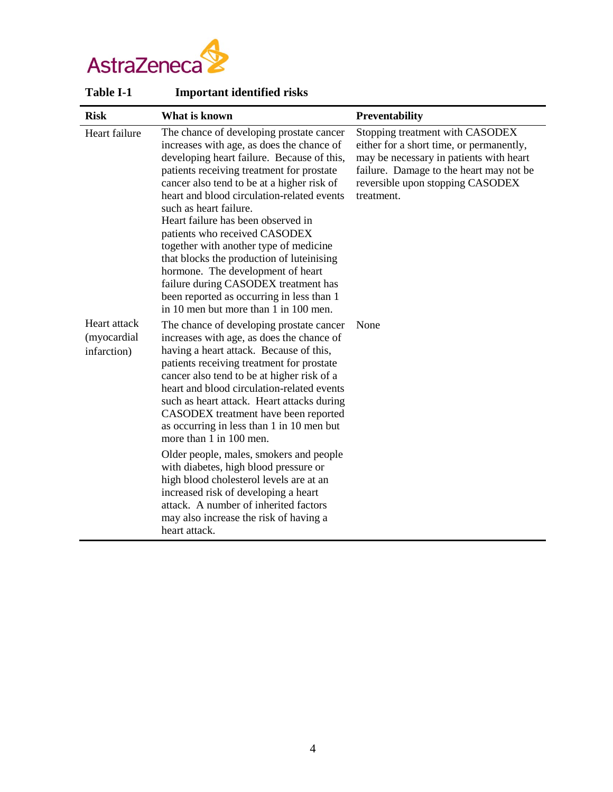

| <b>Table I-1</b>                           | <b>Important identified risks</b>                                                                                                                                                                                                                                                                                                                                                                                                                                                                                                                                                                                                                                                                                  |                                                                                                                                                                                                                     |  |
|--------------------------------------------|--------------------------------------------------------------------------------------------------------------------------------------------------------------------------------------------------------------------------------------------------------------------------------------------------------------------------------------------------------------------------------------------------------------------------------------------------------------------------------------------------------------------------------------------------------------------------------------------------------------------------------------------------------------------------------------------------------------------|---------------------------------------------------------------------------------------------------------------------------------------------------------------------------------------------------------------------|--|
| <b>Risk</b>                                | What is known                                                                                                                                                                                                                                                                                                                                                                                                                                                                                                                                                                                                                                                                                                      | Preventability                                                                                                                                                                                                      |  |
| Heart failure                              | The chance of developing prostate cancer<br>increases with age, as does the chance of<br>developing heart failure. Because of this,<br>patients receiving treatment for prostate<br>cancer also tend to be at a higher risk of<br>heart and blood circulation-related events<br>such as heart failure.<br>Heart failure has been observed in<br>patients who received CASODEX<br>together with another type of medicine<br>that blocks the production of luteinising<br>hormone. The development of heart<br>failure during CASODEX treatment has<br>been reported as occurring in less than 1<br>in 10 men but more than 1 in 100 men.                                                                            | Stopping treatment with CASODEX<br>either for a short time, or permanently,<br>may be necessary in patients with heart<br>failure. Damage to the heart may not be<br>reversible upon stopping CASODEX<br>treatment. |  |
| Heart attack<br>(myocardial<br>infarction) | The chance of developing prostate cancer<br>increases with age, as does the chance of<br>having a heart attack. Because of this,<br>patients receiving treatment for prostate<br>cancer also tend to be at higher risk of a<br>heart and blood circulation-related events<br>such as heart attack. Heart attacks during<br>CASODEX treatment have been reported<br>as occurring in less than 1 in 10 men but<br>more than 1 in 100 men.<br>Older people, males, smokers and people<br>with diabetes, high blood pressure or<br>high blood cholesterol levels are at an<br>increased risk of developing a heart<br>attack. A number of inherited factors<br>may also increase the risk of having a<br>heart attack. | None                                                                                                                                                                                                                |  |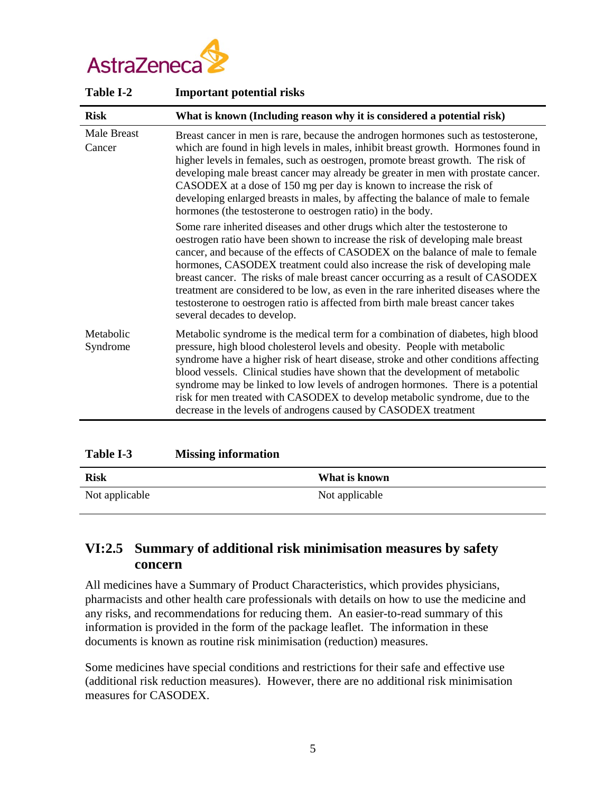

| Table I-2             | <b>Important potential risks</b>                                                                                                                                                                                                                                                                                                                                                                                                                                                                                                                                                                                             |
|-----------------------|------------------------------------------------------------------------------------------------------------------------------------------------------------------------------------------------------------------------------------------------------------------------------------------------------------------------------------------------------------------------------------------------------------------------------------------------------------------------------------------------------------------------------------------------------------------------------------------------------------------------------|
| <b>Risk</b>           | What is known (Including reason why it is considered a potential risk)                                                                                                                                                                                                                                                                                                                                                                                                                                                                                                                                                       |
| Male Breast<br>Cancer | Breast cancer in men is rare, because the androgen hormones such as testosterone,<br>which are found in high levels in males, inhibit breast growth. Hormones found in<br>higher levels in females, such as oestrogen, promote breast growth. The risk of<br>developing male breast cancer may already be greater in men with prostate cancer.<br>CASODEX at a dose of 150 mg per day is known to increase the risk of<br>developing enlarged breasts in males, by affecting the balance of male to female<br>hormones (the testosterone to oestrogen ratio) in the body.                                                    |
|                       | Some rare inherited diseases and other drugs which alter the testosterone to<br>oestrogen ratio have been shown to increase the risk of developing male breast<br>cancer, and because of the effects of CASODEX on the balance of male to female<br>hormones, CASODEX treatment could also increase the risk of developing male<br>breast cancer. The risks of male breast cancer occurring as a result of CASODEX<br>treatment are considered to be low, as even in the rare inherited diseases where the<br>testosterone to oestrogen ratio is affected from birth male breast cancer takes<br>several decades to develop. |
| Metabolic<br>Syndrome | Metabolic syndrome is the medical term for a combination of diabetes, high blood<br>pressure, high blood cholesterol levels and obesity. People with metabolic<br>syndrome have a higher risk of heart disease, stroke and other conditions affecting<br>blood vessels. Clinical studies have shown that the development of metabolic<br>syndrome may be linked to low levels of androgen hormones. There is a potential<br>risk for men treated with CASODEX to develop metabolic syndrome, due to the<br>decrease in the levels of androgens caused by CASODEX treatment                                                   |
|                       |                                                                                                                                                                                                                                                                                                                                                                                                                                                                                                                                                                                                                              |

| Table I-3 | <b>Missing information</b> |
|-----------|----------------------------|
|-----------|----------------------------|

| <b>Risk</b>    | What is known  |
|----------------|----------------|
| Not applicable | Not applicable |

#### **VI:2.5 Summary of additional risk minimisation measures by safety concern**

All medicines have a Summary of Product Characteristics, which provides physicians, pharmacists and other health care professionals with details on how to use the medicine and any risks, and recommendations for reducing them. An easier-to-read summary of this information is provided in the form of the package leaflet. The information in these documents is known as routine risk minimisation (reduction) measures.

Some medicines have special conditions and restrictions for their safe and effective use (additional risk reduction measures). However, there are no additional risk minimisation measures for CASODEX.